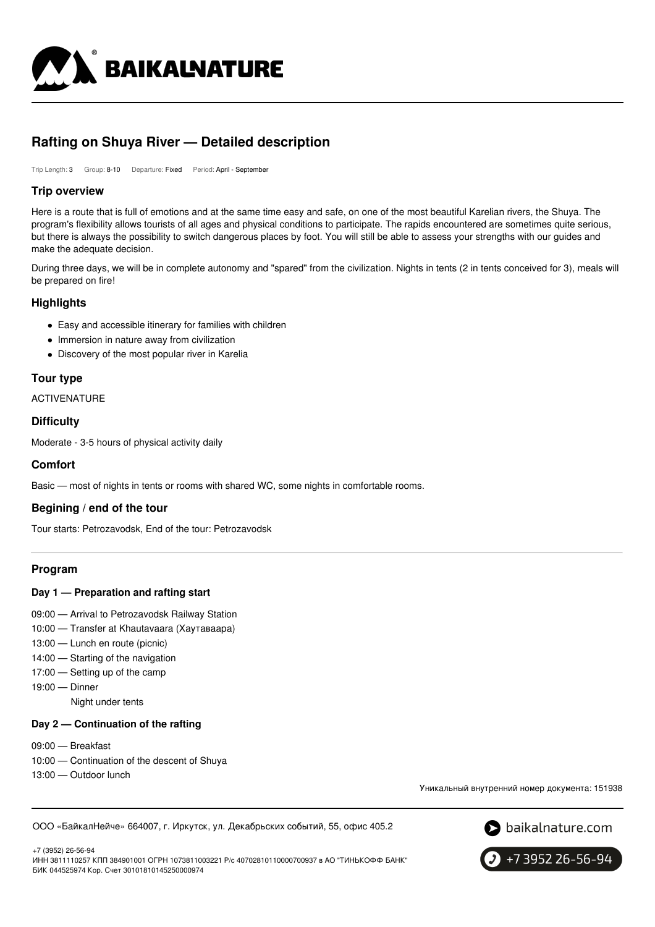

# **Rafting on Shuya River — Detailed description**

Trip Length: 3 Group: 8-10 Departure: Fixed Period: April - September

#### **Trip overview**

Here is a route that is full of emotions and at the same time easy and safe, on one of the most beautiful Karelian rivers, the Shuya. The program's flexibility allows tourists of all ages and physical conditions to participate. The rapids encountered are sometimes quite serious, but there is always the possibility to switch dangerous places by foot. You will still be able to assess your strengths with our guides and make the adequate decision.

During three days, we will be in complete autonomy and "spared" from the civilization. Nights in tents (2 in tents conceived for 3), meals will be prepared on fire!

# **Highlights**

- Easy and accessible itinerary for families with children
- Immersion in nature away from civilization
- Discovery of the most popular river in Karelia

# **Tour type**

ACTIVENATURE

#### **Difficulty**

Moderate - 3-5 hours of physical activity daily

## **Comfort**

Basic — most of nights in tents or rooms with shared WC, some nights in comfortable rooms.

# **Begining / end of the tour**

Tour starts: Petrozavodsk, End of the tour: Petrozavodsk

# **Program**

#### **Day 1 — Preparation and rafting start**

- 09:00 Arrival to Petrozavodsk Railway Station
- 10:00 Transfer at Khautavaara (Хаутаваара)
- 13:00 Lunch en route (picnic)
- 14:00 Starting of the navigation
- 17:00 Setting up of the camp
- 19:00 Dinner

Night under tents

#### **Day 2 — Continuation of the rafting**

- 09:00 Breakfast
- 10:00 Continuation of the descent of Shuya
- 13:00 Outdoor lunch

Уникальный внутренний номер документа: 151938

ООО «БайкалНейче» 664007, г. Иркутск, ул. Декабрьских событий, 55, офис 405.2



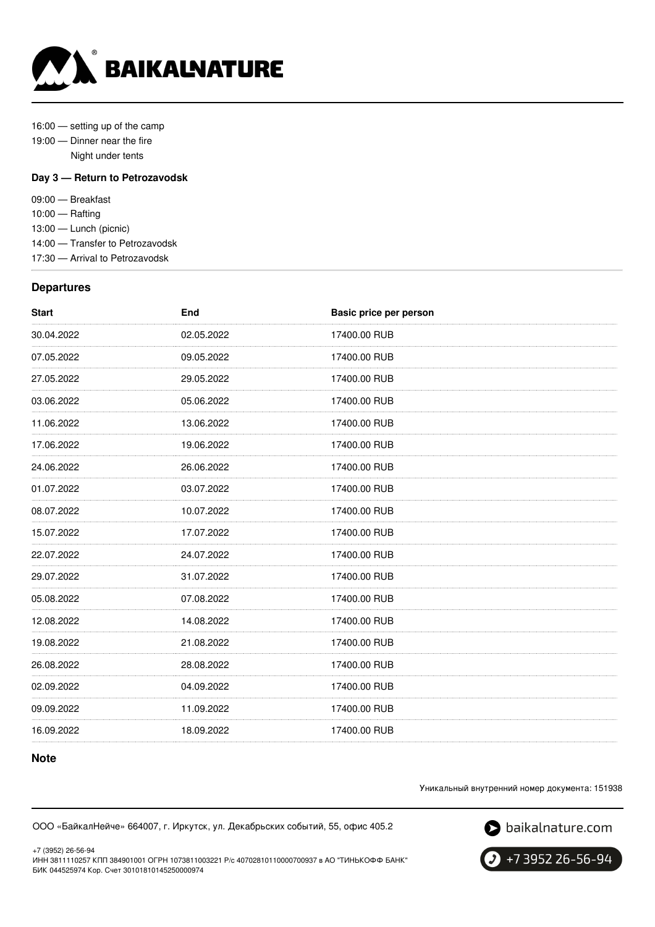

16:00 — setting up of the camp

- 19:00 Dinner near the fire
	- Night under tents

#### **Day 3 — Return to Petrozavodsk**

09:00 — Breakfast 10:00 — Rafting 13:00 — Lunch (picnic) 14:00 — Transfer to Petrozavodsk 17:30 — Arrival to Petrozavodsk

#### **Departures**

| <b>Start</b> | End        | Basic price per person |
|--------------|------------|------------------------|
| 30.04.2022   | 02.05.2022 | 17400.00 RUB           |
| 07.05.2022   | 09.05.2022 | 17400.00 RUB           |
| 27.05.2022   | 29.05.2022 | 17400.00 RUB           |
| 03.06.2022   | 05.06.2022 | 17400.00 RUB           |
| 11.06.2022   | 13.06.2022 | 17400.00 RUB           |
| 17.06.2022   | 19.06.2022 | 17400.00 RUB           |
| 24.06.2022   | 26.06.2022 | 17400.00 RUB           |
| 01.07.2022   | 03.07.2022 | 17400.00 RUB           |
| 08.07.2022   | 10.07.2022 | 17400.00 RUB           |
| 15.07.2022   | 17.07.2022 | 17400.00 RUB           |
| 22.07.2022   | 24.07.2022 | 17400.00 RUB           |
| 29.07.2022   | 31.07.2022 | 17400.00 RUB           |
| 05.08.2022   | 07.08.2022 | 17400.00 RUB           |
| 12.08.2022   | 14.08.2022 | 17400.00 RUB           |
| 19.08.2022   | 21.08.2022 | 17400.00 RUB           |
| 26.08.2022   | 28.08.2022 | 17400.00 RUB           |
| 02.09.2022   | 04.09.2022 | 17400.00 RUB           |
| 09.09.2022   | 11.09.2022 | 17400.00 RUB           |
| 16.09.2022   | 18.09.2022 | 17400.00 RUB           |

## **Note**

Уникальный внутренний номер документа: 151938

ООО «БайкалНейче» 664007, г. Иркутск, ул. Декабрьских событий, 55, офис 405.2

S baikalnature.com

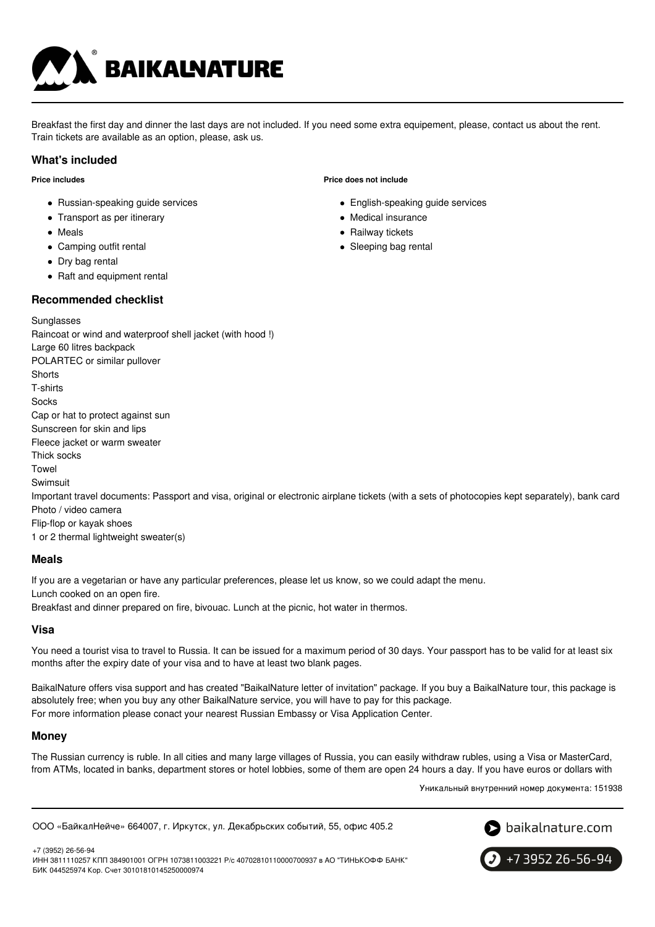

Breakfast the first day and dinner the last days are not included. If you need some extra equipement, please, contact us about the rent. Train tickets are available as an option, please, ask us.

#### **What's included**

#### **Price includes**

- Russian-speaking guide services
- Transport as per itinerary
- Meals
- Camping outfit rental
- Dry bag rental
- Raft and equipment rental

# **Recommended checklist**

## **Price does not include**

- English-speaking guide services
- Medical insurance
- Railway tickets
- Sleeping bag rental

**Sunglasses** Raincoat or wind and waterproof shell jacket (with hood !) Large 60 litres backpack POLARTEC or similar pullover **Shorts** T-shirts Socks Cap or hat to protect against sun Sunscreen for skin and lips Fleece jacket or warm sweater Thick socks Towel Swimsuit Important travel documents: Passport and visa, original or electronic airplane tickets (with a sets of photocopies kept separately), bank card Photo / video camera Flip-flop or kayak shoes 1 or 2 thermal lightweight sweater(s)

#### **Meals**

If you are a vegetarian or have any particular preferences, please let us know, so we could adapt the menu.

Lunch cooked on an open fire.

Breakfast and dinner prepared on fire, bivouac. Lunch at the picnic, hot water in thermos.

#### **Visa**

You need a tourist visa to travel to Russia. It can be issued for a maximum period of 30 days. Your passport has to be valid for at least six months after the expiry date of your visa and to have at least two blank pages.

BaikalNature offers visa support and has created "BaikalNature letter of invitation" package. If you buy a BaikalNature tour, this package is absolutely free; when you buy any other BaikalNature service, you will have to pay for this package. For more information please conact your nearest Russian Embassy or Visa Application Center.

#### **Money**

The Russian currency is ruble. In all cities and many large villages of Russia, you can easily withdraw rubles, using a Visa or MasterCard, from ATMs, located in banks, department stores or hotel lobbies, some of them are open 24 hours a day. If you have euros or dollars with

Уникальный внутренний номер документа: 151938

ООО «БайкалНейче» 664007, г. Иркутск, ул. Декабрьских событий, 55, офис 405.2